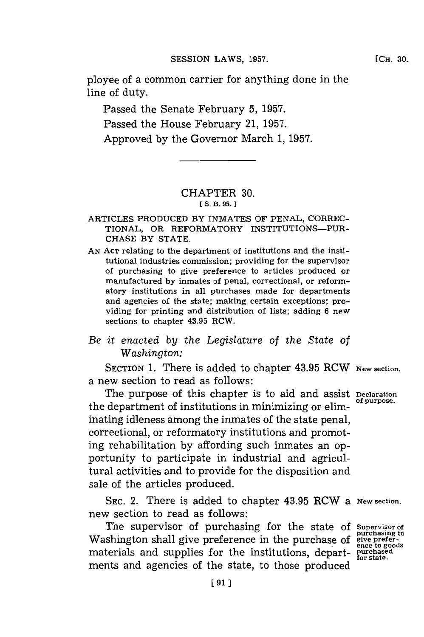ployee of a common carrier for anything done in the line of duty.

Passed the Senate February **5, 1957.** Passed the House February 21, **1957.** Approved **by** the Governor March **1, 1957.**

## CHAPTER **30.** [ $S. B. 95.$ ]

- ARTICLES **PRODUCED** BY INMATES OF **PENAL,** CORREC-TIONAL, OR REFORMATORY INSTITUTIONS-PUR-**CHASE** BY **STATE.**
- **AN ACT** relating to the department of institutions and the institutional industries commission; providing for the supervisor of purchasing to give preference to articles produced or manufactured by inmates of penal, correctional, or reformatory institutions in all purchases made for departments and agencies of the state; making certain exceptions; providing for printing and distribution of lists; adding **6** new sections to chapter 43.95 RCW.

## *Be it enacted by the Legislature of the State of Washington:*

SECTION **1.** There is added to chapter 43.95 RCW New **section.** a new section to read as follows:

The purpose of this chapter is to aid and assist **Declaration** the department of institutions in minimizing or eliminating idleness among the inmates of the state penal, correctional, or reformatory institutions and promoting rehabilitation **by** affording such inmates an opportunity to participate in industrial and agricultural activities and to provide for the disposition and sale of the articles produced.

**SEC.** 2. There is added to chapter 43.95 RCW a **New section.** new section to read as follows:

The supervisor of purchasing for the state of **Supervisor of** shington shall give preference in the purchase of **give prefer-**Washington shall give preference in the purchase of **give preferentials** and supplies for the institutions, depart- purchased purchased materials ments and agencies of the state, to those produced

**[CH. 30.**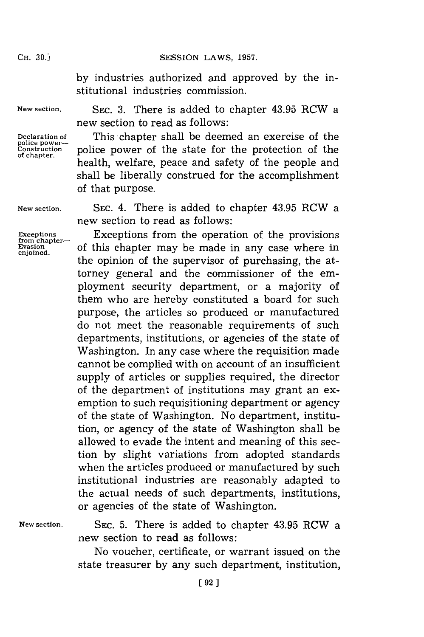CH. **30.]SESSION** LAWS, **1957.**

**by** industries authorized and approved **by** the institutional industries commission.

**New section.**

**Declaration of police power- Construction of chapter.**

SEC. **3.** There is added to chapter 43.95 RCW a new section to read as follows:

This chapter shall be deemed an exercise of the police power of the state for the protection of the health, welfare, peace and safety of the people and shall be liberally construed for the accomplishment of that purpose.

**New section.**

**Exceptions** from chapter-**Evasion enjoined.**

**SEC.** 4. There is added to chapter 43.95 RCW a new section to read as follows:

Exceptions from the operation of the provisions of this chapter may be made in any case where in the opinion of the supervisor of purchasing, the attorney general and the commissioner of the employment security department, or a majority of them who are hereby constituted a board for such purpose, the articles so produced or manufactured do not meet the reasonable requirements of such departments, institutions, or agencies of the state of Washington. In any case where the requisition made cannot be complied with on account of an insufficient supply of articles or supplies required, the director of the department of institutions may grant an exemption to such requisitioning department or agency of the state of Washington. No department, institution, or agency of the state of Washington shall be allowed to evade the intent and meaning of this section **by** slight variations from adopted standards when the articles produced or manufactured **by** such institutional industries are reasonably adapted to the actual needs of such departments, institutions, or agencies of the state of Washington.

**New section.**

**SEC. 5.** There is added to chapter 43.95 RCW a new section to read as follows:

No voucher, certificate, or warrant issued on the state treasurer **by** any such department, institution,